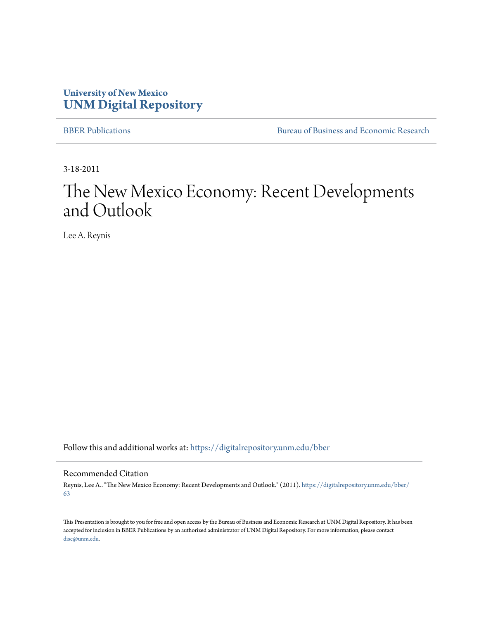## **University of New Mexico [UNM Digital Repository](https://digitalrepository.unm.edu?utm_source=digitalrepository.unm.edu%2Fbber%2F63&utm_medium=PDF&utm_campaign=PDFCoverPages)**

[BBER Publications](https://digitalrepository.unm.edu/bber?utm_source=digitalrepository.unm.edu%2Fbber%2F63&utm_medium=PDF&utm_campaign=PDFCoverPages) [Bureau of Business and Economic Research](https://digitalrepository.unm.edu/business_economic_research?utm_source=digitalrepository.unm.edu%2Fbber%2F63&utm_medium=PDF&utm_campaign=PDFCoverPages)

3-18-2011

## The New Mexico Economy: Recent Developments and Outlook

Lee A. Reynis

Follow this and additional works at: [https://digitalrepository.unm.edu/bber](https://digitalrepository.unm.edu/bber?utm_source=digitalrepository.unm.edu%2Fbber%2F63&utm_medium=PDF&utm_campaign=PDFCoverPages)

## Recommended Citation

Reynis, Lee A.. "The New Mexico Economy: Recent Developments and Outlook." (2011). [https://digitalrepository.unm.edu/bber/](https://digitalrepository.unm.edu/bber/63?utm_source=digitalrepository.unm.edu%2Fbber%2F63&utm_medium=PDF&utm_campaign=PDFCoverPages) [63](https://digitalrepository.unm.edu/bber/63?utm_source=digitalrepository.unm.edu%2Fbber%2F63&utm_medium=PDF&utm_campaign=PDFCoverPages)

This Presentation is brought to you for free and open access by the Bureau of Business and Economic Research at UNM Digital Repository. It has been accepted for inclusion in BBER Publications by an authorized administrator of UNM Digital Repository. For more information, please contact [disc@unm.edu](mailto:disc@unm.edu).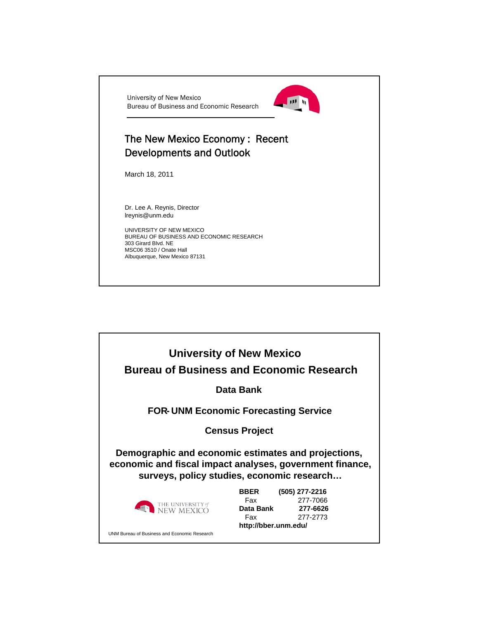

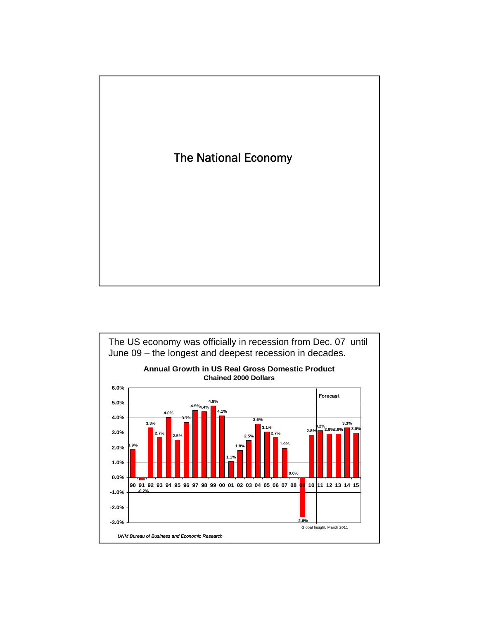

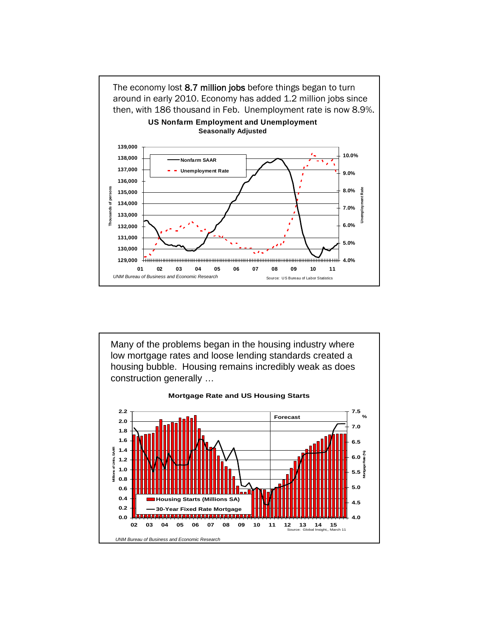

Many of the problems began in the housing industry where low mortgage rates and loose lending standards created a housing bubble. Housing remains incredibly weak as does construction generally …

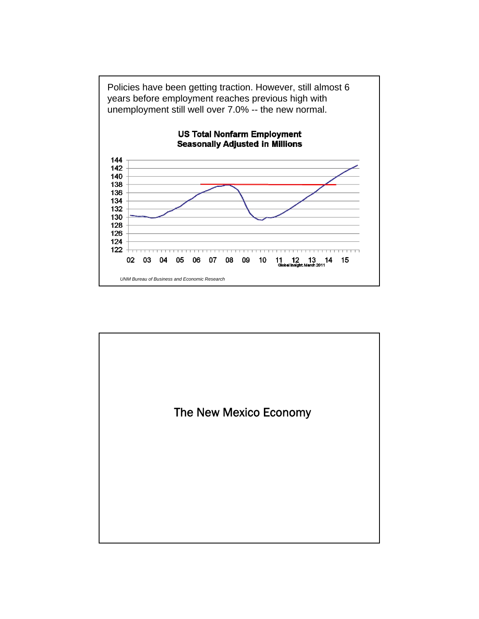

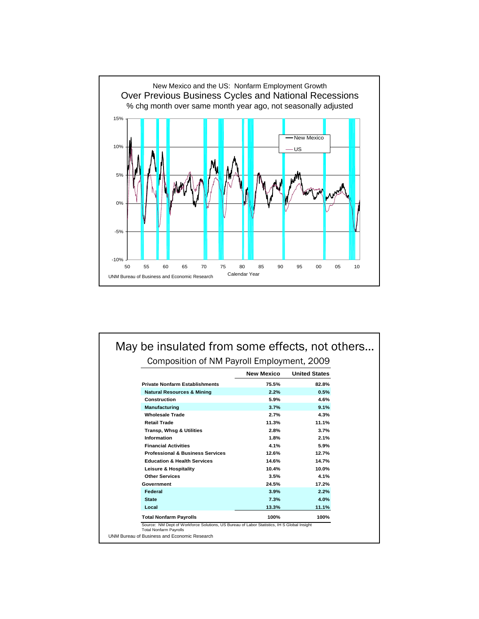

| Composition of NM Payroll Employment, 2009  |                   |                      |
|---------------------------------------------|-------------------|----------------------|
|                                             | <b>New Mexico</b> | <b>United States</b> |
| <b>Private Nonfarm Establishments</b>       | 75.5%             | 82.8%                |
| <b>Natural Resources &amp; Mining</b>       | 2.2%              | 0.5%                 |
| Construction                                | 5.9%              | 4.6%                 |
| <b>Manufacturing</b>                        | 3.7%              | 9.1%                 |
| <b>Wholesale Trade</b>                      | 2.7%              | 4.3%                 |
| <b>Retail Trade</b>                         | 11.3%             | 11.1%                |
| <b>Transp, Whsg &amp; Utilities</b>         | 2.8%              | 3.7%                 |
| Information                                 | 1.8%              | 2.1%                 |
| <b>Financial Activities</b>                 | 4.1%              | 5.9%                 |
| <b>Professional &amp; Business Services</b> | 12.6%             | 12.7%                |
| <b>Education &amp; Health Services</b>      | 14.6%             | 14.7%                |
| Leisure & Hospitality                       | 10.4%             | 10.0%                |
| <b>Other Services</b>                       | 3.5%              | 4.1%                 |
| Government                                  | 24.5%             | 17.2%                |
| Federal                                     | 3.9%              | 2.2%                 |
| <b>State</b>                                | 7.3%              | 4.0%                 |
| Local                                       | 13.3%             | 11.1%                |
| <b>Total Nonfarm Payrolls</b>               | 100%              | 100%                 |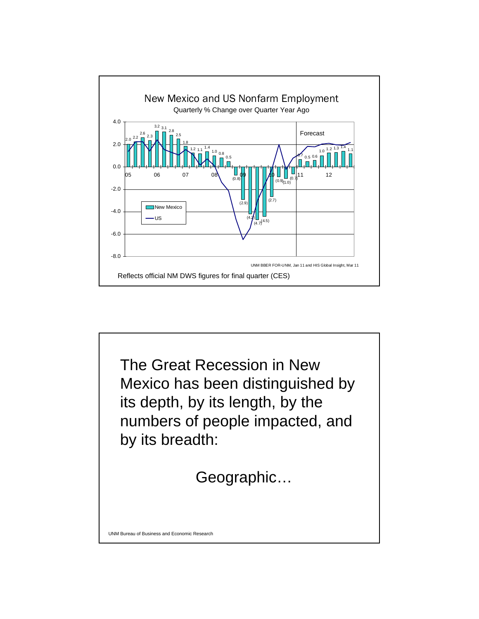

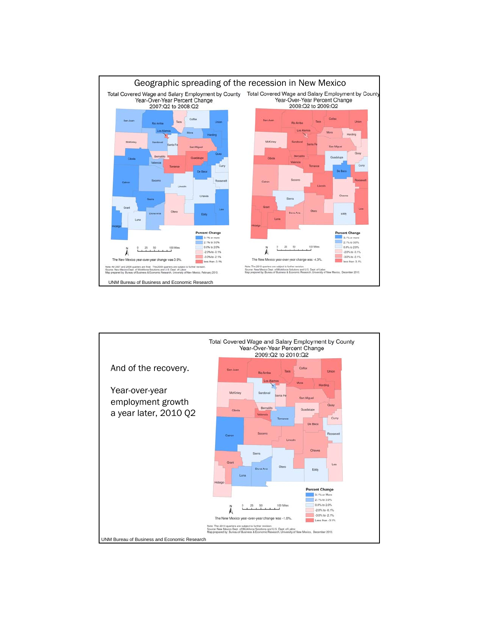

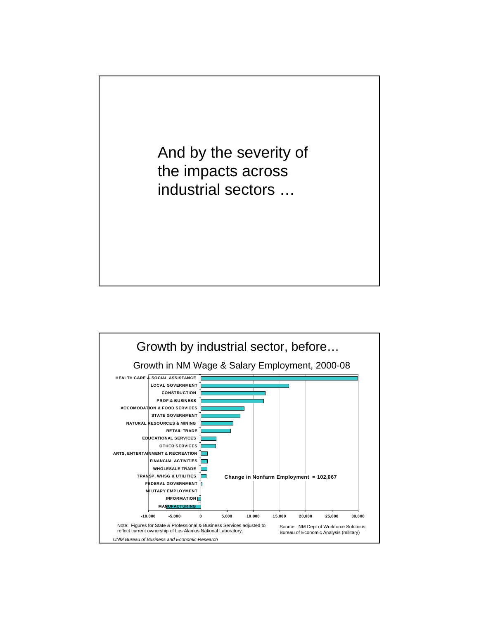

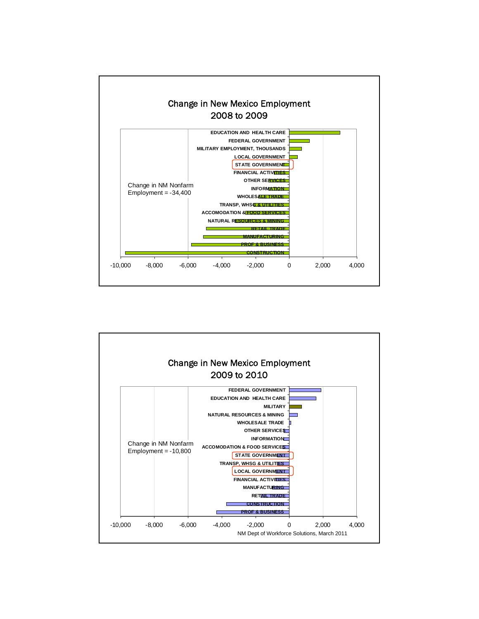

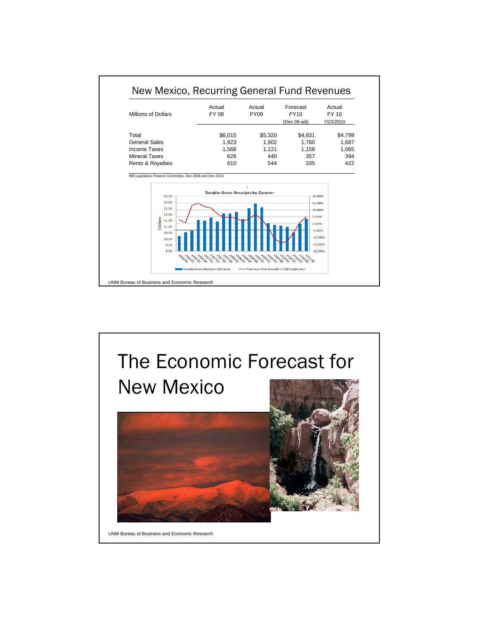

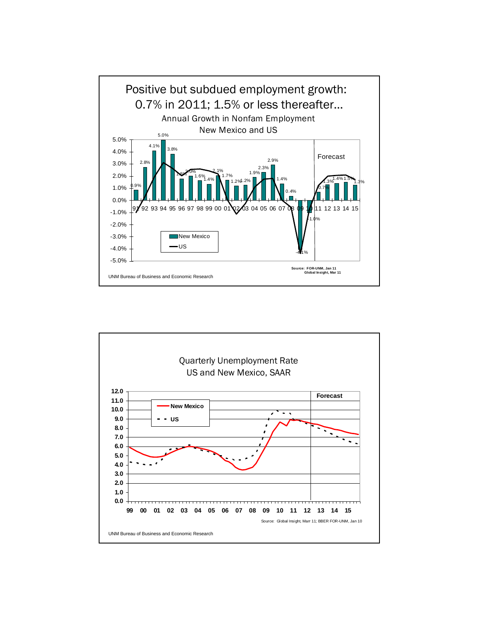

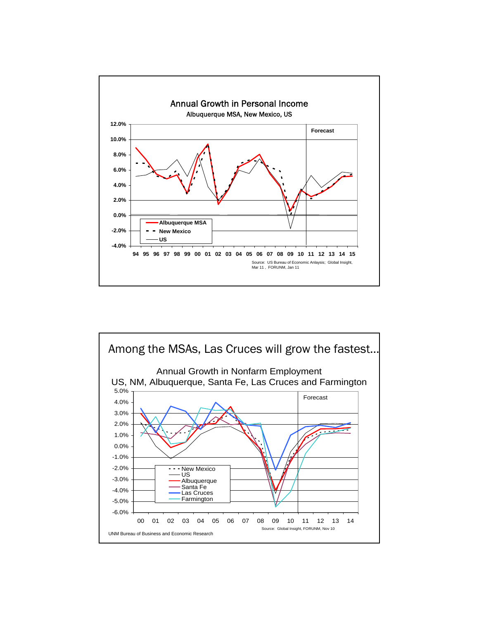

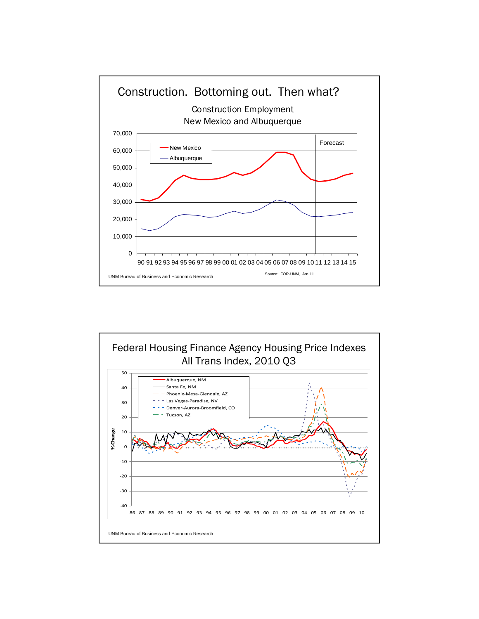

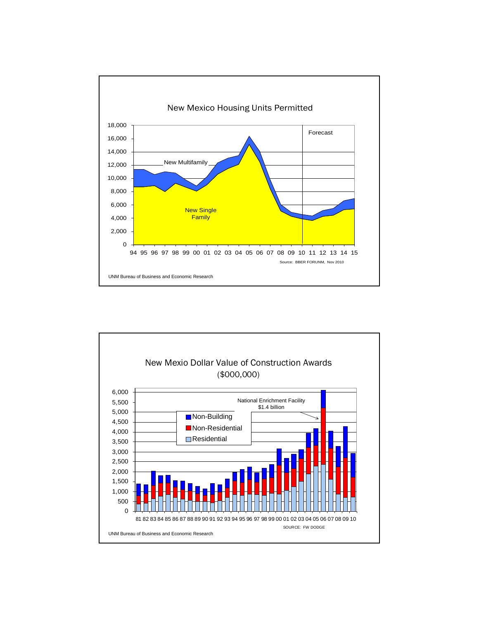

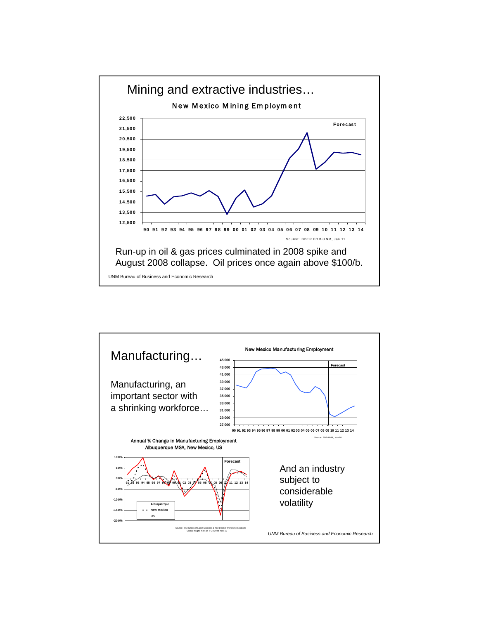

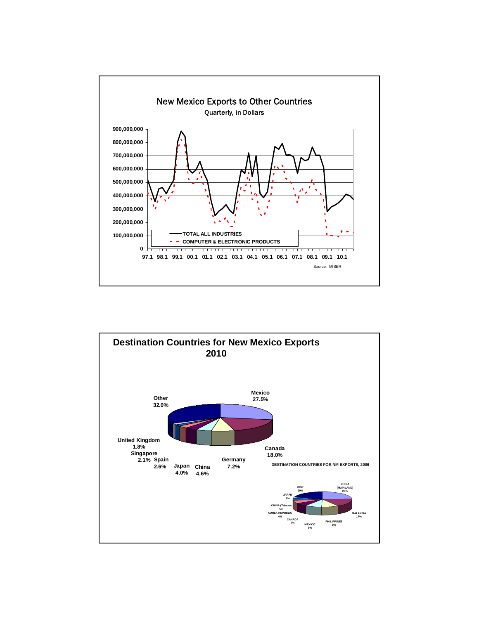

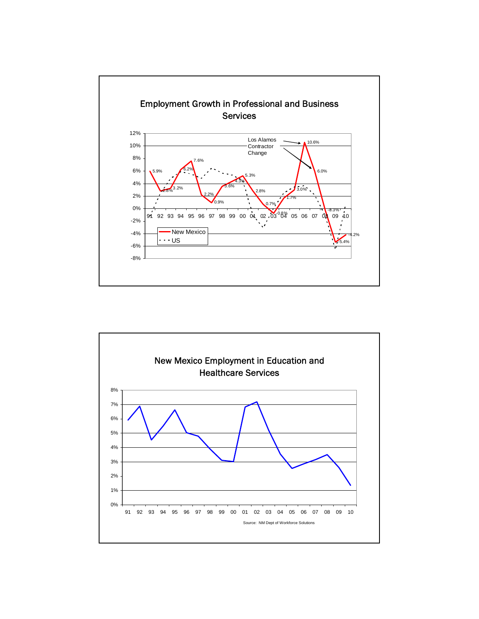

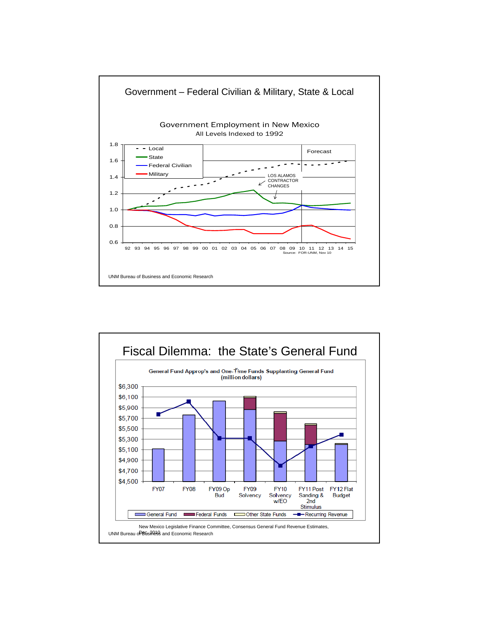

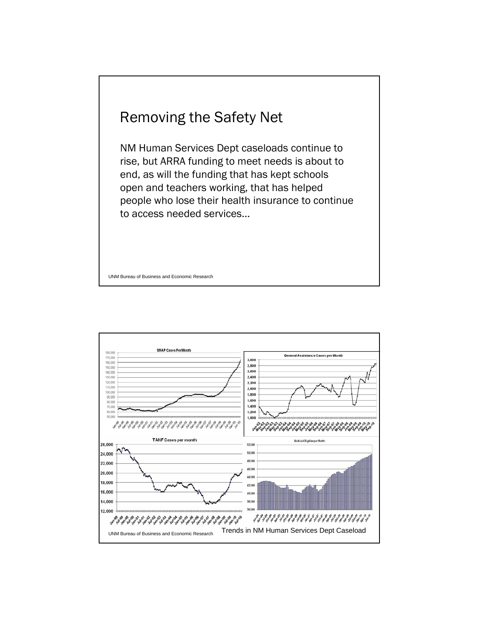